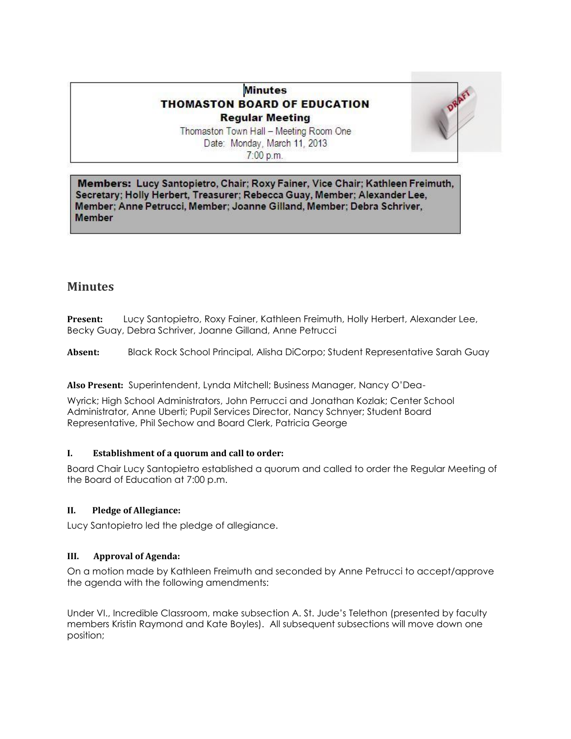# **Minutes THOMASTON BOARD OF EDUCATION Regular Meeting**



Thomaston Town Hall - Meeting Room One Date: Monday, March 11, 2013  $7:00$  p.m.

Members: Lucy Santopietro, Chair; Roxy Fainer, Vice Chair; Kathleen Freimuth, Secretary; Holly Herbert, Treasurer; Rebecca Guay, Member; Alexander Lee, Member; Anne Petrucci, Member; Joanne Gilland, Member; Debra Schriver, **Member** 

# **Minutes**

**Present:** Lucy Santopietro, Roxy Fainer, Kathleen Freimuth, Holly Herbert, Alexander Lee, Becky Guay, Debra Schriver, Joanne Gilland, Anne Petrucci

**Absent:** Black Rock School Principal, Alisha DiCorpo; Student Representative Sarah Guay

**Also Present:** Superintendent, Lynda Mitchell; Business Manager, Nancy O'Dea-

Wyrick; High School Administrators, John Perrucci and Jonathan Kozlak; Center School Administrator, Anne Uberti; Pupil Services Director, Nancy Schnyer; Student Board Representative, Phil Sechow and Board Clerk, Patricia George

## **I. Establishment of a quorum and call to order:**

Board Chair Lucy Santopietro established a quorum and called to order the Regular Meeting of the Board of Education at 7:00 p.m.

## **II. Pledge of Allegiance:**

Lucy Santopietro led the pledge of allegiance.

## **III. Approval of Agenda:**

On a motion made by Kathleen Freimuth and seconded by Anne Petrucci to accept/approve the agenda with the following amendments:

Under VI., Incredible Classroom, make subsection A. St. Jude's Telethon (presented by faculty members Kristin Raymond and Kate Boyles). All subsequent subsections will move down one position;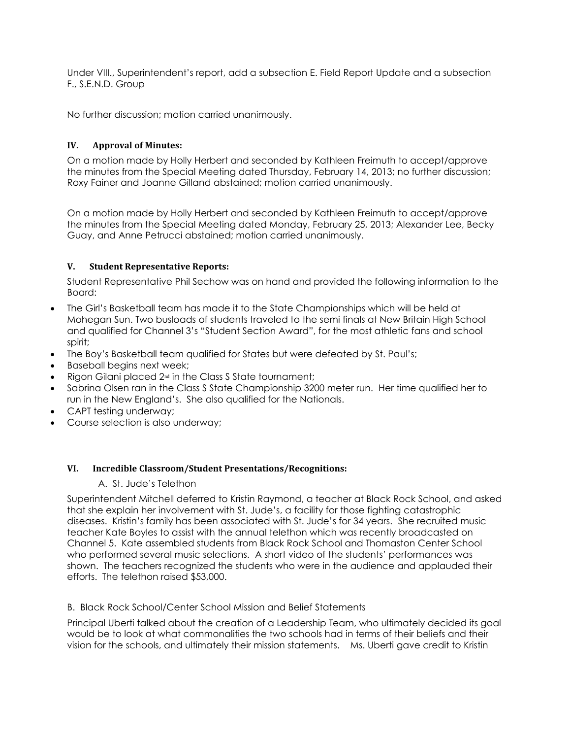Under VIII., Superintendent's report, add a subsection E. Field Report Update and a subsection F., S.E.N.D. Group

No further discussion; motion carried unanimously.

# **IV. Approval of Minutes:**

On a motion made by Holly Herbert and seconded by Kathleen Freimuth to accept/approve the minutes from the Special Meeting dated Thursday, February 14, 2013; no further discussion; Roxy Fainer and Joanne Gilland abstained; motion carried unanimously.

On a motion made by Holly Herbert and seconded by Kathleen Freimuth to accept/approve the minutes from the Special Meeting dated Monday, February 25, 2013; Alexander Lee, Becky Guay, and Anne Petrucci abstained; motion carried unanimously.

## **V. Student Representative Reports:**

Student Representative Phil Sechow was on hand and provided the following information to the Board:

- The Girl's Basketball team has made it to the State Championships which will be held at Mohegan Sun. Two busloads of students traveled to the semi finals at New Britain High School and qualified for Channel 3's "Student Section Award", for the most athletic fans and school spirit;
- The Boy's Basketball team qualified for States but were defeated by St. Paul's;
- Baseball begins next week;
- Rigon Gilani placed 2<sup>nd</sup> in the Class S State tournament;
- Sabrina Olsen ran in the Class S State Championship 3200 meter run. Her time qualified her to run in the New England's. She also qualified for the Nationals.
- CAPT testing underway;
- Course selection is also underway;

## **VI. Incredible Classroom/Student Presentations/Recognitions:**

## A. St. Jude's Telethon

Superintendent Mitchell deferred to Kristin Raymond, a teacher at Black Rock School, and asked that she explain her involvement with St. Jude's, a facility for those fighting catastrophic diseases. Kristin's family has been associated with St. Jude's for 34 years. She recruited music teacher Kate Boyles to assist with the annual telethon which was recently broadcasted on Channel 5. Kate assembled students from Black Rock School and Thomaston Center School who performed several music selections. A short video of the students' performances was shown. The teachers recognized the students who were in the audience and applauded their efforts. The telethon raised \$53,000.

B. Black Rock School/Center School Mission and Belief Statements

Principal Uberti talked about the creation of a Leadership Team, who ultimately decided its goal would be to look at what commonalities the two schools had in terms of their beliefs and their vision for the schools, and ultimately their mission statements. Ms. Uberti gave credit to Kristin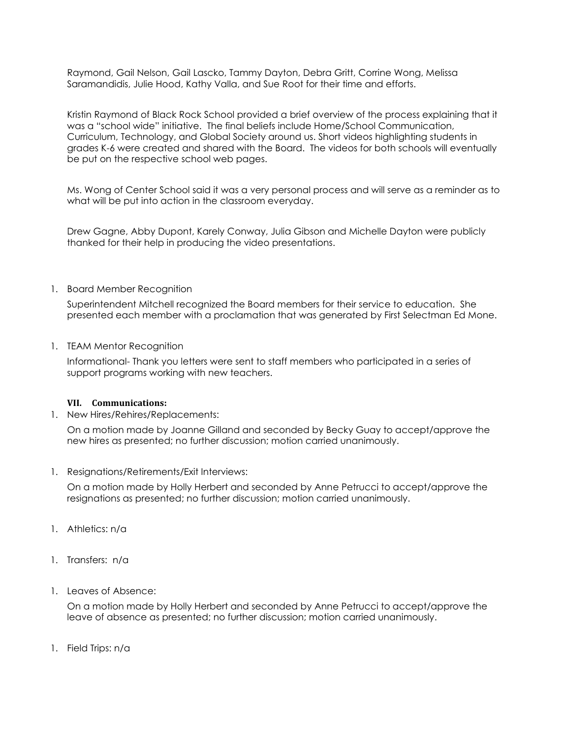Raymond, Gail Nelson, Gail Lascko, Tammy Dayton, Debra Gritt, Corrine Wong, Melissa Saramandidis, Julie Hood, Kathy Valla, and Sue Root for their time and efforts.

Kristin Raymond of Black Rock School provided a brief overview of the process explaining that it was a "school wide" initiative. The final beliefs include Home/School Communication, Curriculum, Technology, and Global Society around us. Short videos highlighting students in grades K-6 were created and shared with the Board. The videos for both schools will eventually be put on the respective school web pages.

Ms. Wong of Center School said it was a very personal process and will serve as a reminder as to what will be put into action in the classroom everyday.

Drew Gagne, Abby Dupont, Karely Conway, Julia Gibson and Michelle Dayton were publicly thanked for their help in producing the video presentations.

## 1. Board Member Recognition

Superintendent Mitchell recognized the Board members for their service to education. She presented each member with a proclamation that was generated by First Selectman Ed Mone.

1. TEAM Mentor Recognition

Informational- Thank you letters were sent to staff members who participated in a series of support programs working with new teachers.

#### **VII. Communications:**

1. New Hires/Rehires/Replacements:

On a motion made by Joanne Gilland and seconded by Becky Guay to accept/approve the new hires as presented; no further discussion; motion carried unanimously.

1. Resignations/Retirements/Exit Interviews:

On a motion made by Holly Herbert and seconded by Anne Petrucci to accept/approve the resignations as presented; no further discussion; motion carried unanimously.

- 1. Athletics: n/a
- 1. Transfers: n/a
- 1. Leaves of Absence:

On a motion made by Holly Herbert and seconded by Anne Petrucci to accept/approve the leave of absence as presented; no further discussion; motion carried unanimously.

1. Field Trips: n/a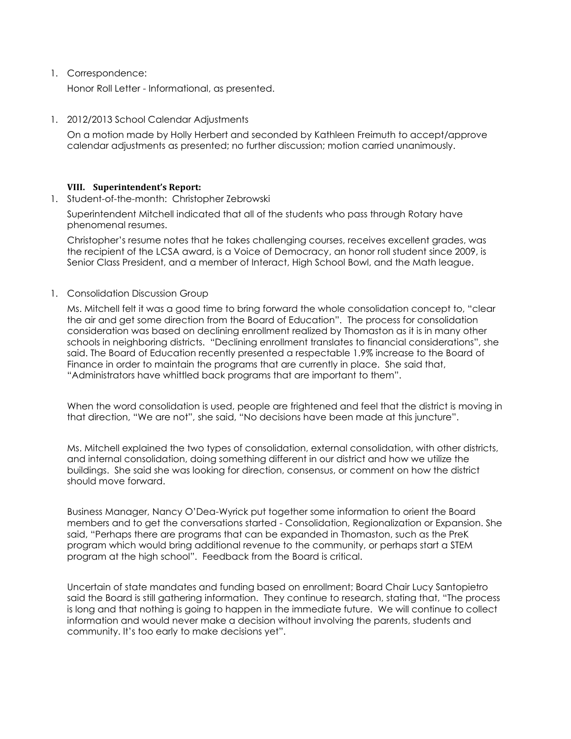### 1. Correspondence:

Honor Roll Letter - Informational, as presented.

### 1. 2012/2013 School Calendar Adjustments

On a motion made by Holly Herbert and seconded by Kathleen Freimuth to accept/approve calendar adjustments as presented; no further discussion; motion carried unanimously.

### **VIII. Superintendent's Report:**

1. Student-of-the-month: Christopher Zebrowski

Superintendent Mitchell indicated that all of the students who pass through Rotary have phenomenal resumes.

Christopher's resume notes that he takes challenging courses, receives excellent grades, was the recipient of the LCSA award, is a Voice of Democracy, an honor roll student since 2009, is Senior Class President, and a member of Interact, High School Bowl, and the Math league.

1. Consolidation Discussion Group

Ms. Mitchell felt it was a good time to bring forward the whole consolidation concept to, "clear the air and get some direction from the Board of Education". The process for consolidation consideration was based on declining enrollment realized by Thomaston as it is in many other schools in neighboring districts. "Declining enrollment translates to financial considerations", she said. The Board of Education recently presented a respectable 1.9% increase to the Board of Finance in order to maintain the programs that are currently in place. She said that, "Administrators have whittled back programs that are important to them".

When the word consolidation is used, people are frightened and feel that the district is moving in that direction, "We are not", she said, "No decisions have been made at this juncture".

Ms. Mitchell explained the two types of consolidation, external consolidation, with other districts, and internal consolidation, doing something different in our district and how we utilize the buildings. She said she was looking for direction, consensus, or comment on how the district should move forward.

Business Manager, Nancy O'Dea-Wyrick put together some information to orient the Board members and to get the conversations started - Consolidation, Regionalization or Expansion. She said, "Perhaps there are programs that can be expanded in Thomaston, such as the PreK program which would bring additional revenue to the community, or perhaps start a STEM program at the high school". Feedback from the Board is critical.

Uncertain of state mandates and funding based on enrollment; Board Chair Lucy Santopietro said the Board is still gathering information. They continue to research, stating that, "The process is long and that nothing is going to happen in the immediate future. We will continue to collect information and would never make a decision without involving the parents, students and community. It's too early to make decisions yet".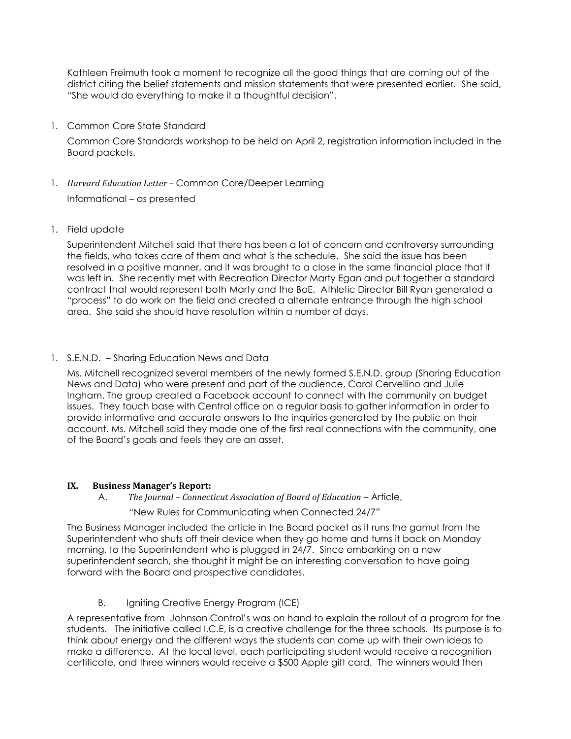Kathleen Freimuth took a moment to recognize all the good things that are coming out of the district citing the belief statements and mission statements that were presented earlier. She said, "She would do everything to make it a thoughtful decision".

1. Common Core State Standard

Common Core Standards workshop to be held on April 2, registration information included in the Board packets.

- 1. *Harvard Education Letter –* Common Core/Deeper Learning Informational – as presented
- 1. Field update

Superintendent Mitchell said that there has been a lot of concern and controversy surrounding the fields, who takes care of them and what is the schedule. She said the issue has been resolved in a positive manner, and it was brought to a close in the same financial place that it was left in. She recently met with Recreation Director Marty Egan and put together a standard contract that would represent both Marty and the BoE. Athletic Director Bill Ryan generated a "process" to do work on the field and created a alternate entrance through the high school area. She said she should have resolution within a number of days.

1. S.E.N.D. – Sharing Education News and Data

Ms. Mitchell recognized several members of the newly formed S.E.N.D. group (Sharing Education News and Data) who were present and part of the audience, Carol Cervellino and Julie Ingham. The group created a Facebook account to connect with the community on budget issues. They touch base with Central office on a regular basis to gather information in order to provide informative and accurate answers to the inquiries generated by the public on their account. Ms. Mitchell said they made one of the first real connections with the community, one of the Board's goals and feels they are an asset.

## **IX. Business Manager's Report:**

A. *The Journal – Connecticut Association of Board of Education* – Article,

"New Rules for Communicating when Connected 24/7"

The Business Manager included the article in the Board packet as it runs the gamut from the Superintendent who shuts off their device when they go home and turns it back on Monday morning, to the Superintendent who is plugged in 24/7. Since embarking on a new superintendent search, she thought it might be an interesting conversation to have going forward with the Board and prospective candidates.

B. Igniting Creative Energy Program (ICE)

A representative from Johnson Control's was on hand to explain the rollout of a program for the students. The initiative called I.C.E, is a creative challenge for the three schools. Its purpose is to think about energy and the different ways the students can come up with their own ideas to make a difference. At the local level, each participating student would receive a recognition certificate, and three winners would receive a \$500 Apple gift card. The winners would then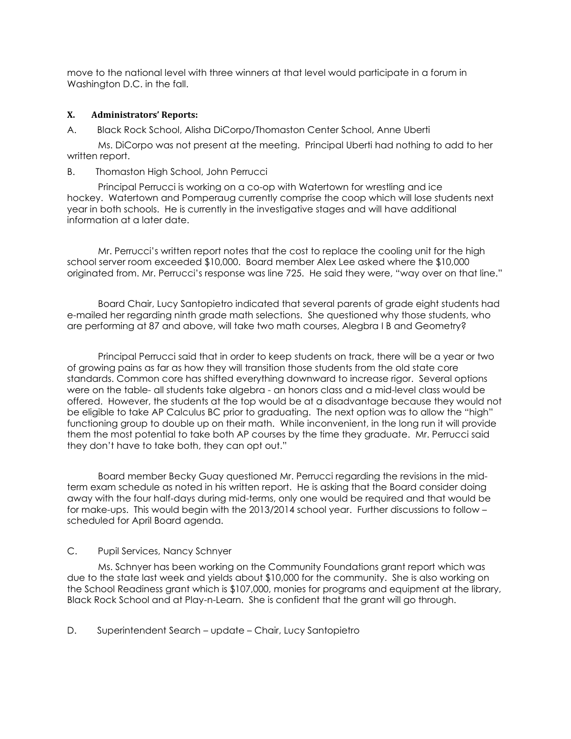move to the national level with three winners at that level would participate in a forum in Washington D.C. in the fall.

## **X. Administrators' Reports:**

A. Black Rock School, Alisha DiCorpo/Thomaston Center School, Anne Uberti

 Ms. DiCorpo was not present at the meeting. Principal Uberti had nothing to add to her written report.

### B. Thomaston High School, John Perrucci

 Principal Perrucci is working on a co-op with Watertown for wrestling and ice hockey. Watertown and Pomperaug currently comprise the coop which will lose students next year in both schools. He is currently in the investigative stages and will have additional information at a later date.

 Mr. Perrucci's written report notes that the cost to replace the cooling unit for the high school server room exceeded \$10,000. Board member Alex Lee asked where the \$10,000 originated from. Mr. Perrucci's response was line 725. He said they were, "way over on that line."

 Board Chair, Lucy Santopietro indicated that several parents of grade eight students had e-mailed her regarding ninth grade math selections. She questioned why those students, who are performing at 87 and above, will take two math courses, Alegbra I B and Geometry?

 Principal Perrucci said that in order to keep students on track, there will be a year or two of growing pains as far as how they will transition those students from the old state core standards. Common core has shifted everything downward to increase rigor. Several options were on the table- all students take algebra - an honors class and a mid-level class would be offered. However, the students at the top would be at a disadvantage because they would not be eligible to take AP Calculus BC prior to graduating. The next option was to allow the "high" functioning group to double up on their math. While inconvenient, in the long run it will provide them the most potential to take both AP courses by the time they graduate. Mr. Perrucci said they don't have to take both, they can opt out."

 Board member Becky Guay questioned Mr. Perrucci regarding the revisions in the midterm exam schedule as noted in his written report. He is asking that the Board consider doing away with the four half-days during mid-terms, only one would be required and that would be for make-ups. This would begin with the 2013/2014 school year. Further discussions to follow – scheduled for April Board agenda.

## C. Pupil Services, Nancy Schnyer

 Ms. Schnyer has been working on the Community Foundations grant report which was due to the state last week and yields about \$10,000 for the community. She is also working on the School Readiness grant which is \$107,000, monies for programs and equipment at the library, Black Rock School and at Play-n-Learn. She is confident that the grant will go through.

D. Superintendent Search – update – Chair, Lucy Santopietro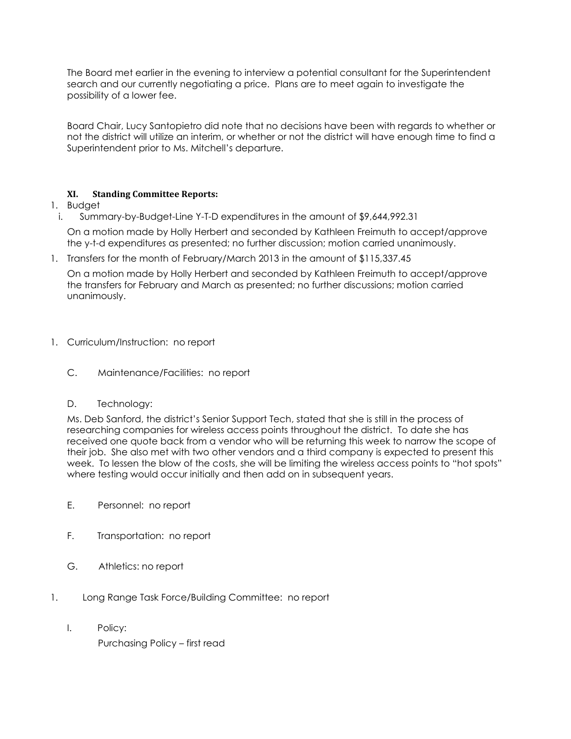The Board met earlier in the evening to interview a potential consultant for the Superintendent search and our currently negotiating a price. Plans are to meet again to investigate the possibility of a lower fee.

Board Chair, Lucy Santopietro did note that no decisions have been with regards to whether or not the district will utilize an interim, or whether or not the district will have enough time to find a Superintendent prior to Ms. Mitchell's departure.

# **XI. Standing Committee Reports:**

- 1. Budget
- i. Summary-by-Budget-Line Y-T-D expenditures in the amount of \$9,644,992.31

On a motion made by Holly Herbert and seconded by Kathleen Freimuth to accept/approve the y-t-d expenditures as presented; no further discussion; motion carried unanimously.

1. Transfers for the month of February/March 2013 in the amount of \$115,337.45

On a motion made by Holly Herbert and seconded by Kathleen Freimuth to accept/approve the transfers for February and March as presented; no further discussions; motion carried unanimously.

- 1. Curriculum/Instruction: no report
	- C. Maintenance/Facilities: no report
	- D. Technology:

Ms. Deb Sanford, the district's Senior Support Tech, stated that she is still in the process of researching companies for wireless access points throughout the district. To date she has received one quote back from a vendor who will be returning this week to narrow the scope of their job. She also met with two other vendors and a third company is expected to present this week. To lessen the blow of the costs, she will be limiting the wireless access points to "hot spots" where testing would occur initially and then add on in subsequent years.

- E. Personnel: no report
- F. Transportation: no report
- G. Athletics: no report
- 1. Long Range Task Force/Building Committee: no report
	- I. Policy:

Purchasing Policy – first read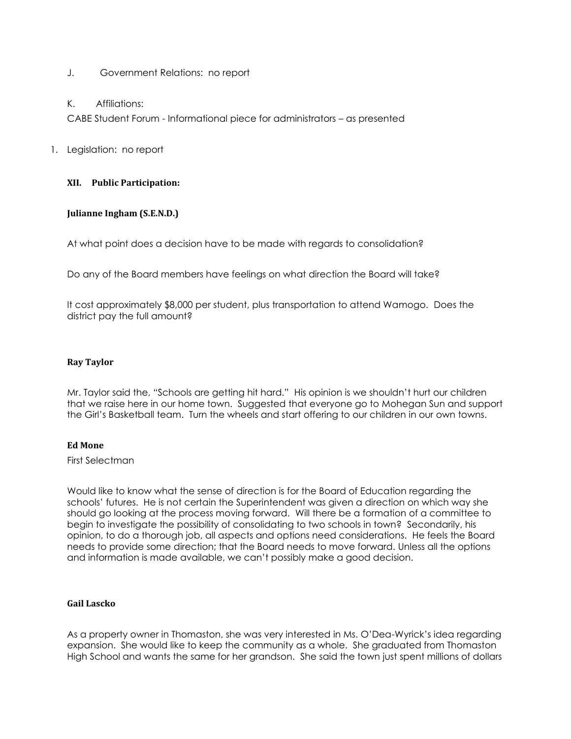- J. Government Relations: no report
- K. Affiliations:

CABE Student Forum - Informational piece for administrators – as presented

1. Legislation: no report

### **XII. Public Participation:**

### **Julianne Ingham (S.E.N.D.)**

At what point does a decision have to be made with regards to consolidation?

Do any of the Board members have feelings on what direction the Board will take?

It cost approximately \$8,000 per student, plus transportation to attend Wamogo. Does the district pay the full amount?

#### **Ray Taylor**

Mr. Taylor said the, "Schools are getting hit hard." His opinion is we shouldn't hurt our children that we raise here in our home town. Suggested that everyone go to Mohegan Sun and support the Girl's Basketball team. Turn the wheels and start offering to our children in our own towns.

#### **Ed Mone**

First Selectman

Would like to know what the sense of direction is for the Board of Education regarding the schools' futures. He is not certain the Superintendent was given a direction on which way she should go looking at the process moving forward. Will there be a formation of a committee to begin to investigate the possibility of consolidating to two schools in town? Secondarily, his opinion, to do a thorough job, all aspects and options need considerations. He feels the Board needs to provide some direction; that the Board needs to move forward. Unless all the options and information is made available, we can't possibly make a good decision.

#### **Gail Lascko**

As a property owner in Thomaston, she was very interested in Ms. O'Dea-Wyrick's idea regarding expansion. She would like to keep the community as a whole. She graduated from Thomaston High School and wants the same for her grandson. She said the town just spent millions of dollars